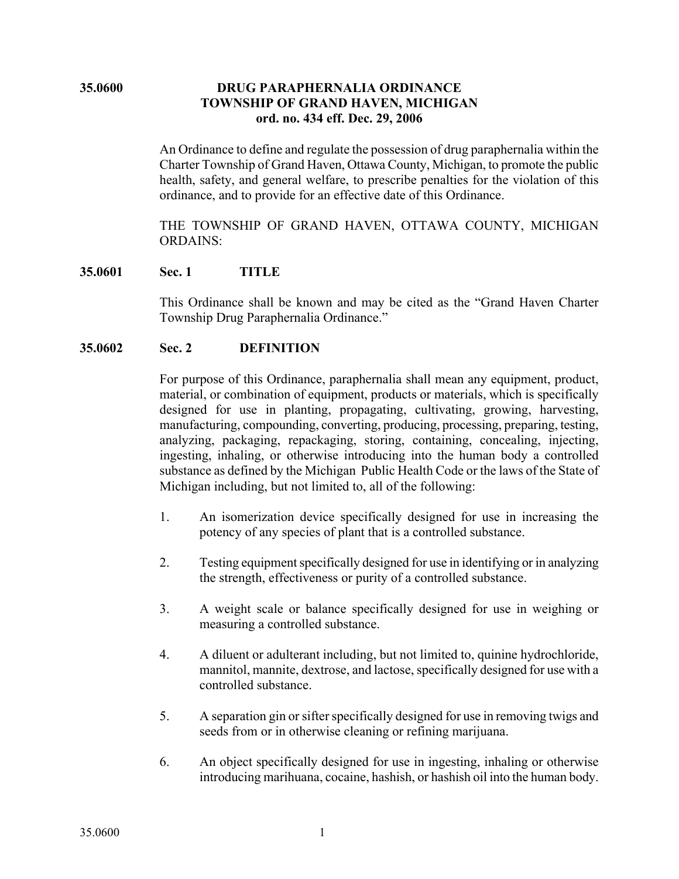## **35.0600 DRUG PARAPHERNALIA ORDINANCE TOWNSHIP OF GRAND HAVEN, MICHIGAN ord. no. 434 eff. Dec. 29, 2006**

An Ordinance to define and regulate the possession of drug paraphernalia within the Charter Township of Grand Haven, Ottawa County, Michigan, to promote the public health, safety, and general welfare, to prescribe penalties for the violation of this ordinance, and to provide for an effective date of this Ordinance.

THE TOWNSHIP OF GRAND HAVEN, OTTAWA COUNTY, MICHIGAN ORDAINS:

### **35.0601 Sec. 1 TITLE**

This Ordinance shall be known and may be cited as the "Grand Haven Charter Township Drug Paraphernalia Ordinance."

### **35.0602 Sec. 2 DEFINITION**

For purpose of this Ordinance, paraphernalia shall mean any equipment, product, material, or combination of equipment, products or materials, which is specifically designed for use in planting, propagating, cultivating, growing, harvesting, manufacturing, compounding, converting, producing, processing, preparing, testing, analyzing, packaging, repackaging, storing, containing, concealing, injecting, ingesting, inhaling, or otherwise introducing into the human body a controlled substance as defined by the Michigan Public Health Code or the laws of the State of Michigan including, but not limited to, all of the following:

- 1. An isomerization device specifically designed for use in increasing the potency of any species of plant that is a controlled substance.
- 2. Testing equipment specifically designed for use in identifying or in analyzing the strength, effectiveness or purity of a controlled substance.
- 3. A weight scale or balance specifically designed for use in weighing or measuring a controlled substance.
- 4. A diluent or adulterant including, but not limited to, quinine hydrochloride, mannitol, mannite, dextrose, and lactose, specifically designed for use with a controlled substance.
- 5. A separation gin or sifter specifically designed for use in removing twigs and seeds from or in otherwise cleaning or refining marijuana.
- 6. An object specifically designed for use in ingesting, inhaling or otherwise introducing marihuana, cocaine, hashish, or hashish oil into the human body.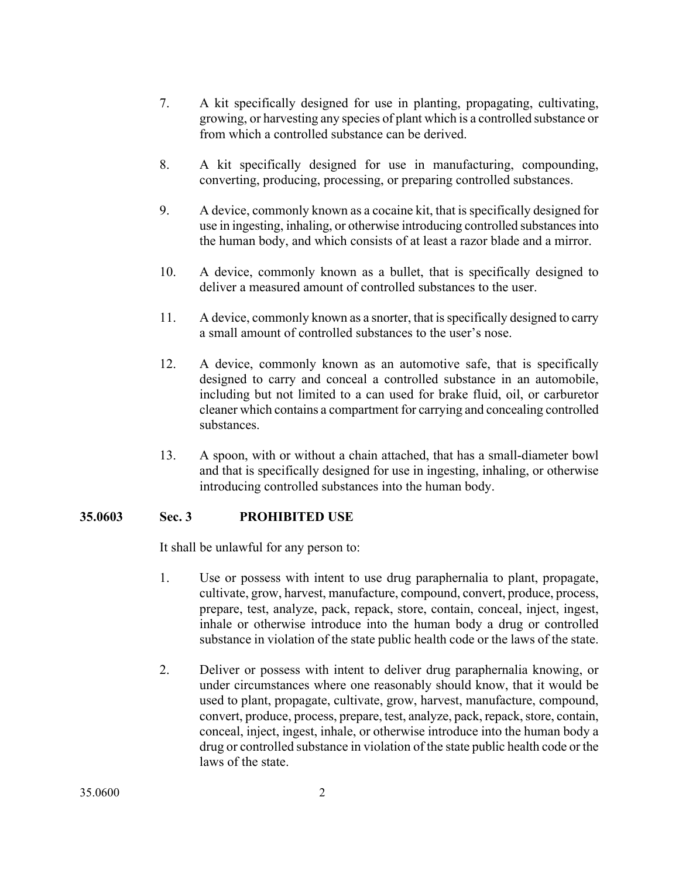- 7. A kit specifically designed for use in planting, propagating, cultivating, growing, or harvesting any species of plant which is a controlled substance or from which a controlled substance can be derived.
- 8. A kit specifically designed for use in manufacturing, compounding, converting, producing, processing, or preparing controlled substances.
- 9. A device, commonly known as a cocaine kit, that is specifically designed for use in ingesting, inhaling, or otherwise introducing controlled substances into the human body, and which consists of at least a razor blade and a mirror.
- 10. A device, commonly known as a bullet, that is specifically designed to deliver a measured amount of controlled substances to the user.
- 11. A device, commonly known as a snorter, that is specifically designed to carry a small amount of controlled substances to the user's nose.
- 12. A device, commonly known as an automotive safe, that is specifically designed to carry and conceal a controlled substance in an automobile, including but not limited to a can used for brake fluid, oil, or carburetor cleaner which contains a compartment for carrying and concealing controlled substances.
- 13. A spoon, with or without a chain attached, that has a small-diameter bowl and that is specifically designed for use in ingesting, inhaling, or otherwise introducing controlled substances into the human body.

# **35.0603 Sec. 3 PROHIBITED USE**

It shall be unlawful for any person to:

- 1. Use or possess with intent to use drug paraphernalia to plant, propagate, cultivate, grow, harvest, manufacture, compound, convert, produce, process, prepare, test, analyze, pack, repack, store, contain, conceal, inject, ingest, inhale or otherwise introduce into the human body a drug or controlled substance in violation of the state public health code or the laws of the state.
- 2. Deliver or possess with intent to deliver drug paraphernalia knowing, or under circumstances where one reasonably should know, that it would be used to plant, propagate, cultivate, grow, harvest, manufacture, compound, convert, produce, process, prepare, test, analyze, pack, repack, store, contain, conceal, inject, ingest, inhale, or otherwise introduce into the human body a drug or controlled substance in violation of the state public health code or the laws of the state.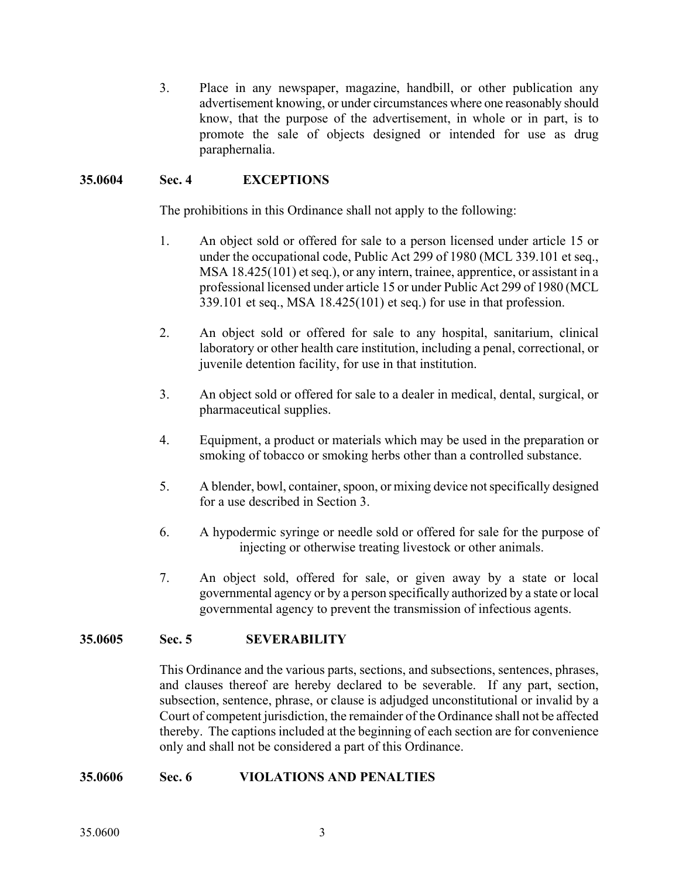3. Place in any newspaper, magazine, handbill, or other publication any advertisement knowing, or under circumstances where one reasonably should know, that the purpose of the advertisement, in whole or in part, is to promote the sale of objects designed or intended for use as drug paraphernalia.

# **35.0604 Sec. 4 EXCEPTIONS**

The prohibitions in this Ordinance shall not apply to the following:

- 1. An object sold or offered for sale to a person licensed under article 15 or under the occupational code, Public Act 299 of 1980 (MCL 339.101 et seq., MSA 18.425(101) et seq.), or any intern, trainee, apprentice, or assistant in a professional licensed under article 15 or under Public Act 299 of 1980 (MCL 339.101 et seq., MSA 18.425(101) et seq.) for use in that profession.
- 2. An object sold or offered for sale to any hospital, sanitarium, clinical laboratory or other health care institution, including a penal, correctional, or juvenile detention facility, for use in that institution.
- 3. An object sold or offered for sale to a dealer in medical, dental, surgical, or pharmaceutical supplies.
- 4. Equipment, a product or materials which may be used in the preparation or smoking of tobacco or smoking herbs other than a controlled substance.
- 5. A blender, bowl, container, spoon, or mixing device not specifically designed for a use described in Section 3.
- 6. A hypodermic syringe or needle sold or offered for sale for the purpose of injecting or otherwise treating livestock or other animals.
- 7. An object sold, offered for sale, or given away by a state or local governmental agency or by a person specifically authorized by a state or local governmental agency to prevent the transmission of infectious agents.

### **35.0605 Sec. 5 SEVERABILITY**

This Ordinance and the various parts, sections, and subsections, sentences, phrases, and clauses thereof are hereby declared to be severable. If any part, section, subsection, sentence, phrase, or clause is adjudged unconstitutional or invalid by a Court of competent jurisdiction, the remainder of the Ordinance shall not be affected thereby. The captions included at the beginning of each section are for convenience only and shall not be considered a part of this Ordinance.

### **35.0606 Sec. 6 VIOLATIONS AND PENALTIES**